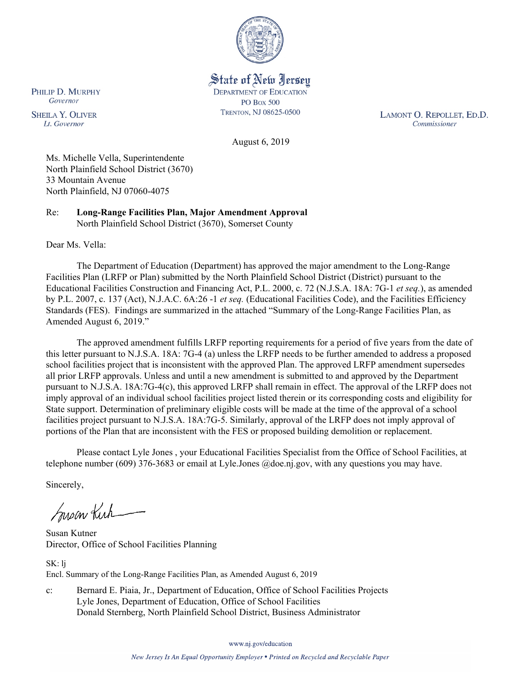

State of New Jersey **DEPARTMENT OF EDUCATION PO Box 500** TRENTON, NJ 08625-0500

LAMONT O. REPOLLET, ED.D. Commissioner

August 6, 2019

Ms. Michelle Vella, Superintendente North Plainfield School District (3670) 33 Mountain Avenue North Plainfield, NJ 07060-4075

Re: **Long-Range Facilities Plan, Major Amendment Approval** North Plainfield School District (3670), Somerset County

Dear Ms. Vella:

The Department of Education (Department) has approved the major amendment to the Long-Range Facilities Plan (LRFP or Plan) submitted by the North Plainfield School District (District) pursuant to the Educational Facilities Construction and Financing Act, P.L. 2000, c. 72 (N.J.S.A. 18A: 7G-1 *et seq.*), as amended by P.L. 2007, c. 137 (Act), N.J.A.C. 6A:26 -1 *et seq.* (Educational Facilities Code), and the Facilities Efficiency Standards (FES). Findings are summarized in the attached "Summary of the Long-Range Facilities Plan, as Amended August 6, 2019."

The approved amendment fulfills LRFP reporting requirements for a period of five years from the date of this letter pursuant to N.J.S.A. 18A: 7G-4 (a) unless the LRFP needs to be further amended to address a proposed school facilities project that is inconsistent with the approved Plan. The approved LRFP amendment supersedes all prior LRFP approvals. Unless and until a new amendment is submitted to and approved by the Department pursuant to N.J.S.A. 18A:7G-4(c), this approved LRFP shall remain in effect. The approval of the LRFP does not imply approval of an individual school facilities project listed therein or its corresponding costs and eligibility for State support. Determination of preliminary eligible costs will be made at the time of the approval of a school facilities project pursuant to N.J.S.A. 18A:7G-5. Similarly, approval of the LRFP does not imply approval of portions of the Plan that are inconsistent with the FES or proposed building demolition or replacement.

Please contact Lyle Jones , your Educational Facilities Specialist from the Office of School Facilities, at telephone number (609) 376-3683 or email at Lyle.Jones @doe.nj.gov, with any questions you may have.

Sincerely,

Susan Kich

Susan Kutner Director, Office of School Facilities Planning

SK: lj Encl. Summary of the Long-Range Facilities Plan, as Amended August 6, 2019

c: Bernard E. Piaia, Jr., Department of Education, Office of School Facilities Projects Lyle Jones, Department of Education, Office of School Facilities Donald Sternberg, North Plainfield School District, Business Administrator

www.nj.gov/education

PHILIP D. MURPHY Governor

**SHEILA Y. OLIVER** Lt. Governor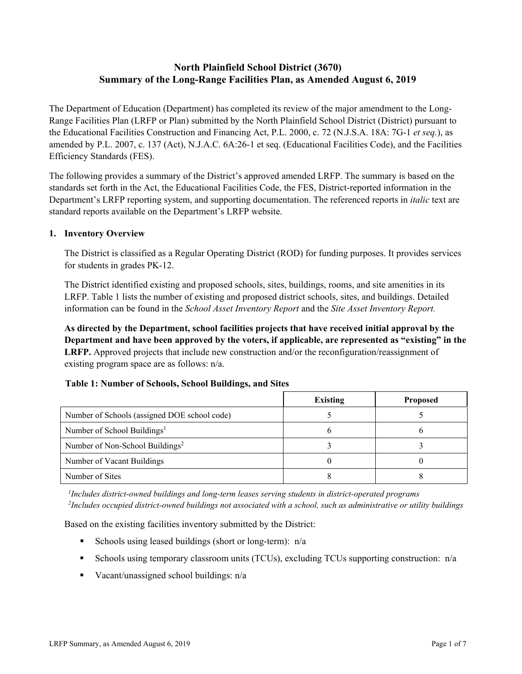# **North Plainfield School District (3670) Summary of the Long-Range Facilities Plan, as Amended August 6, 2019**

The Department of Education (Department) has completed its review of the major amendment to the Long-Range Facilities Plan (LRFP or Plan) submitted by the North Plainfield School District (District) pursuant to the Educational Facilities Construction and Financing Act, P.L. 2000, c. 72 (N.J.S.A. 18A: 7G-1 *et seq.*), as amended by P.L. 2007, c. 137 (Act), N.J.A.C. 6A:26-1 et seq. (Educational Facilities Code), and the Facilities Efficiency Standards (FES).

The following provides a summary of the District's approved amended LRFP. The summary is based on the standards set forth in the Act, the Educational Facilities Code, the FES, District-reported information in the Department's LRFP reporting system, and supporting documentation. The referenced reports in *italic* text are standard reports available on the Department's LRFP website.

### **1. Inventory Overview**

The District is classified as a Regular Operating District (ROD) for funding purposes. It provides services for students in grades PK-12.

The District identified existing and proposed schools, sites, buildings, rooms, and site amenities in its LRFP. Table 1 lists the number of existing and proposed district schools, sites, and buildings. Detailed information can be found in the *School Asset Inventory Report* and the *Site Asset Inventory Report.*

**As directed by the Department, school facilities projects that have received initial approval by the Department and have been approved by the voters, if applicable, are represented as "existing" in the LRFP.** Approved projects that include new construction and/or the reconfiguration/reassignment of existing program space are as follows: n/a.

# **Table 1: Number of Schools, School Buildings, and Sites**

|                                              | <b>Existing</b> | <b>Proposed</b> |
|----------------------------------------------|-----------------|-----------------|
| Number of Schools (assigned DOE school code) |                 |                 |
| Number of School Buildings <sup>1</sup>      |                 |                 |
| Number of Non-School Buildings <sup>2</sup>  |                 |                 |
| Number of Vacant Buildings                   |                 |                 |
| Number of Sites                              |                 |                 |

*1 Includes district-owned buildings and long-term leases serving students in district-operated programs 2 Includes occupied district-owned buildings not associated with a school, such as administrative or utility buildings*

Based on the existing facilities inventory submitted by the District:

- Schools using leased buildings (short or long-term):  $n/a$
- Schools using temporary classroom units (TCUs), excluding TCUs supporting construction:  $n/a$
- Vacant/unassigned school buildings:  $n/a$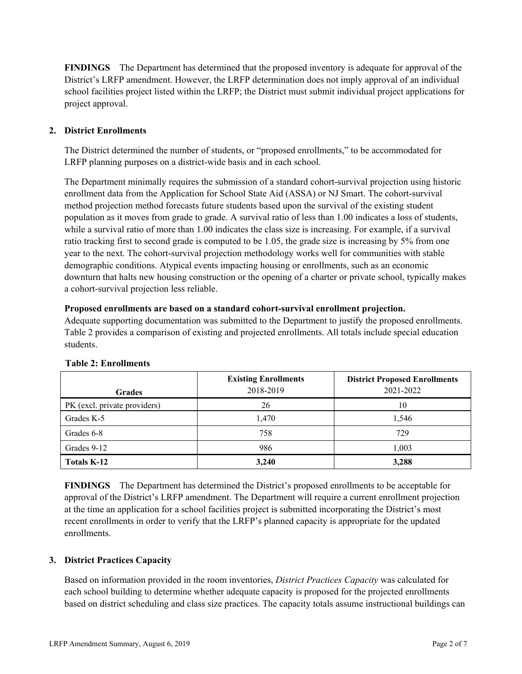**FINDINGS** The Department has determined that the proposed inventory is adequate for approval of the District's LRFP amendment. However, the LRFP determination does not imply approval of an individual school facilities project listed within the LRFP; the District must submit individual project applications for project approval.

# **2. District Enrollments**

The District determined the number of students, or "proposed enrollments," to be accommodated for LRFP planning purposes on a district-wide basis and in each school.

The Department minimally requires the submission of a standard cohort-survival projection using historic enrollment data from the Application for School State Aid (ASSA) or NJ Smart. The cohort-survival method projection method forecasts future students based upon the survival of the existing student population as it moves from grade to grade. A survival ratio of less than 1.00 indicates a loss of students, while a survival ratio of more than 1.00 indicates the class size is increasing. For example, if a survival ratio tracking first to second grade is computed to be 1.05, the grade size is increasing by 5% from one year to the next. The cohort-survival projection methodology works well for communities with stable demographic conditions. Atypical events impacting housing or enrollments, such as an economic downturn that halts new housing construction or the opening of a charter or private school, typically makes a cohort-survival projection less reliable.

### **Proposed enrollments are based on a standard cohort-survival enrollment projection.**

Adequate supporting documentation was submitted to the Department to justify the proposed enrollments. Table 2 provides a comparison of existing and projected enrollments. All totals include special education students.

| <b>Grades</b>                | <b>Existing Enrollments</b><br>2018-2019 | <b>District Proposed Enrollments</b><br>2021-2022 |
|------------------------------|------------------------------------------|---------------------------------------------------|
| PK (excl. private providers) | 26                                       | 10                                                |
| Grades K-5                   | 1,470                                    | 1,546                                             |
| Grades 6-8                   | 758                                      | 729                                               |
| Grades 9-12                  | 986                                      | 1,003                                             |
| <b>Totals K-12</b>           | 3,240                                    | 3,288                                             |

### **Table 2: Enrollments**

**FINDINGS** The Department has determined the District's proposed enrollments to be acceptable for approval of the District's LRFP amendment. The Department will require a current enrollment projection at the time an application for a school facilities project is submitted incorporating the District's most recent enrollments in order to verify that the LRFP's planned capacity is appropriate for the updated enrollments.

### **3. District Practices Capacity**

Based on information provided in the room inventories, *District Practices Capacity* was calculated for each school building to determine whether adequate capacity is proposed for the projected enrollments based on district scheduling and class size practices. The capacity totals assume instructional buildings can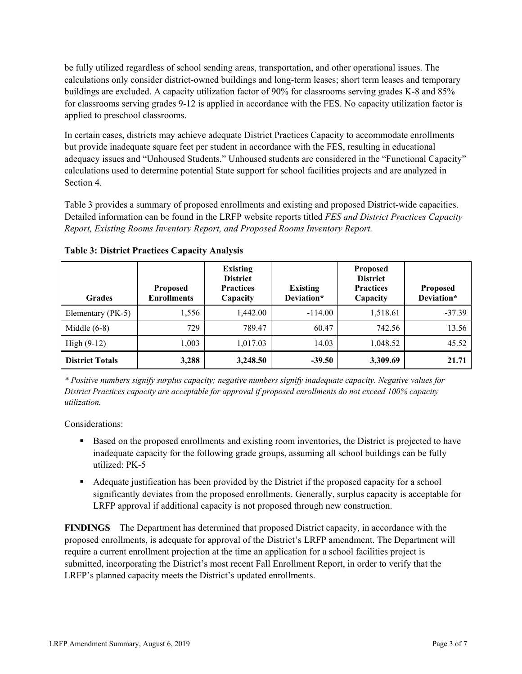be fully utilized regardless of school sending areas, transportation, and other operational issues. The calculations only consider district-owned buildings and long-term leases; short term leases and temporary buildings are excluded. A capacity utilization factor of 90% for classrooms serving grades K-8 and 85% for classrooms serving grades 9-12 is applied in accordance with the FES. No capacity utilization factor is applied to preschool classrooms.

In certain cases, districts may achieve adequate District Practices Capacity to accommodate enrollments but provide inadequate square feet per student in accordance with the FES, resulting in educational adequacy issues and "Unhoused Students." Unhoused students are considered in the "Functional Capacity" calculations used to determine potential State support for school facilities projects and are analyzed in Section 4.

Table 3 provides a summary of proposed enrollments and existing and proposed District-wide capacities. Detailed information can be found in the LRFP website reports titled *FES and District Practices Capacity Report, Existing Rooms Inventory Report, and Proposed Rooms Inventory Report.*

| <b>Grades</b>          | <b>Proposed</b><br><b>Enrollments</b> | <b>Existing</b><br><b>District</b><br><b>Practices</b><br>Capacity | <b>Existing</b><br>Deviation* | <b>Proposed</b><br><b>District</b><br><b>Practices</b><br>Capacity | <b>Proposed</b><br>Deviation* |
|------------------------|---------------------------------------|--------------------------------------------------------------------|-------------------------------|--------------------------------------------------------------------|-------------------------------|
| Elementary (PK-5)      | 1,556                                 | 1,442.00                                                           | $-114.00$                     | 1,518.61                                                           | $-37.39$                      |
| Middle $(6-8)$         | 729                                   | 789.47                                                             | 60.47                         | 742.56                                                             | 13.56                         |
| High $(9-12)$          | 1,003                                 | 1,017.03                                                           | 14.03                         | 1,048.52                                                           | 45.52                         |
| <b>District Totals</b> | 3,288                                 | 3,248.50                                                           | $-39.50$                      | 3,309.69                                                           | 21.71                         |

**Table 3: District Practices Capacity Analysis**

*\* Positive numbers signify surplus capacity; negative numbers signify inadequate capacity. Negative values for District Practices capacity are acceptable for approval if proposed enrollments do not exceed 100% capacity utilization.*

Considerations:

- Based on the proposed enrollments and existing room inventories, the District is projected to have inadequate capacity for the following grade groups, assuming all school buildings can be fully utilized: PK-5
- Adequate justification has been provided by the District if the proposed capacity for a school significantly deviates from the proposed enrollments. Generally, surplus capacity is acceptable for LRFP approval if additional capacity is not proposed through new construction.

**FINDINGS**The Department has determined that proposed District capacity, in accordance with the proposed enrollments, is adequate for approval of the District's LRFP amendment. The Department will require a current enrollment projection at the time an application for a school facilities project is submitted, incorporating the District's most recent Fall Enrollment Report, in order to verify that the LRFP's planned capacity meets the District's updated enrollments.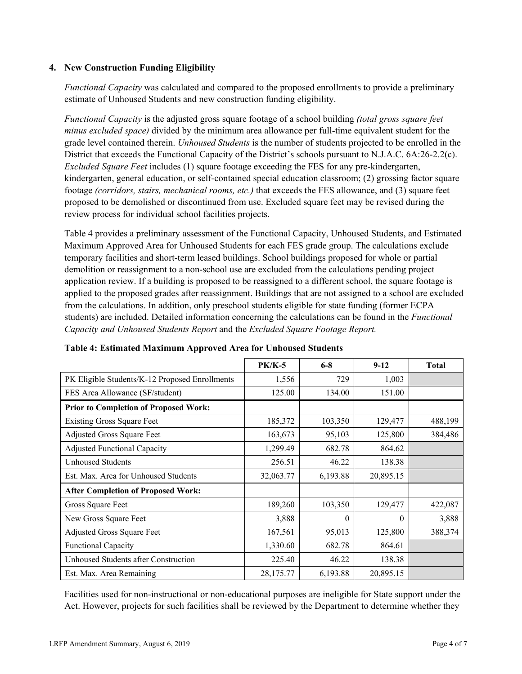### **4. New Construction Funding Eligibility**

*Functional Capacity* was calculated and compared to the proposed enrollments to provide a preliminary estimate of Unhoused Students and new construction funding eligibility.

*Functional Capacity* is the adjusted gross square footage of a school building *(total gross square feet minus excluded space)* divided by the minimum area allowance per full-time equivalent student for the grade level contained therein. *Unhoused Students* is the number of students projected to be enrolled in the District that exceeds the Functional Capacity of the District's schools pursuant to N.J.A.C. 6A:26-2.2(c). *Excluded Square Feet* includes (1) square footage exceeding the FES for any pre-kindergarten, kindergarten, general education, or self-contained special education classroom; (2) grossing factor square footage *(corridors, stairs, mechanical rooms, etc.)* that exceeds the FES allowance, and (3) square feet proposed to be demolished or discontinued from use. Excluded square feet may be revised during the review process for individual school facilities projects.

Table 4 provides a preliminary assessment of the Functional Capacity, Unhoused Students, and Estimated Maximum Approved Area for Unhoused Students for each FES grade group. The calculations exclude temporary facilities and short-term leased buildings. School buildings proposed for whole or partial demolition or reassignment to a non-school use are excluded from the calculations pending project application review. If a building is proposed to be reassigned to a different school, the square footage is applied to the proposed grades after reassignment. Buildings that are not assigned to a school are excluded from the calculations. In addition, only preschool students eligible for state funding (former ECPA students) are included. Detailed information concerning the calculations can be found in the *Functional Capacity and Unhoused Students Report* and the *Excluded Square Footage Report.*

|                                                | $PK/K-5$  | $6 - 8$  | $9-12$    | <b>Total</b> |
|------------------------------------------------|-----------|----------|-----------|--------------|
| PK Eligible Students/K-12 Proposed Enrollments | 1,556     | 729      | 1,003     |              |
| FES Area Allowance (SF/student)                | 125.00    | 134.00   | 151.00    |              |
| <b>Prior to Completion of Proposed Work:</b>   |           |          |           |              |
| <b>Existing Gross Square Feet</b>              | 185,372   | 103,350  | 129,477   | 488,199      |
| Adjusted Gross Square Feet                     | 163,673   | 95,103   | 125,800   | 384,486      |
| <b>Adjusted Functional Capacity</b>            | 1,299.49  | 682.78   | 864.62    |              |
| Unhoused Students                              | 256.51    | 46.22    | 138.38    |              |
| Est. Max. Area for Unhoused Students           | 32,063.77 | 6,193.88 | 20,895.15 |              |
| <b>After Completion of Proposed Work:</b>      |           |          |           |              |
| Gross Square Feet                              | 189,260   | 103,350  | 129,477   | 422,087      |
| New Gross Square Feet                          | 3,888     | $\theta$ | $\theta$  | 3,888        |
| Adjusted Gross Square Feet                     | 167,561   | 95,013   | 125,800   | 388,374      |
| <b>Functional Capacity</b>                     | 1,330.60  | 682.78   | 864.61    |              |
| Unhoused Students after Construction           | 225.40    | 46.22    | 138.38    |              |
| Est. Max. Area Remaining                       | 28,175.77 | 6,193.88 | 20,895.15 |              |

### **Table 4: Estimated Maximum Approved Area for Unhoused Students**

Facilities used for non-instructional or non-educational purposes are ineligible for State support under the Act. However, projects for such facilities shall be reviewed by the Department to determine whether they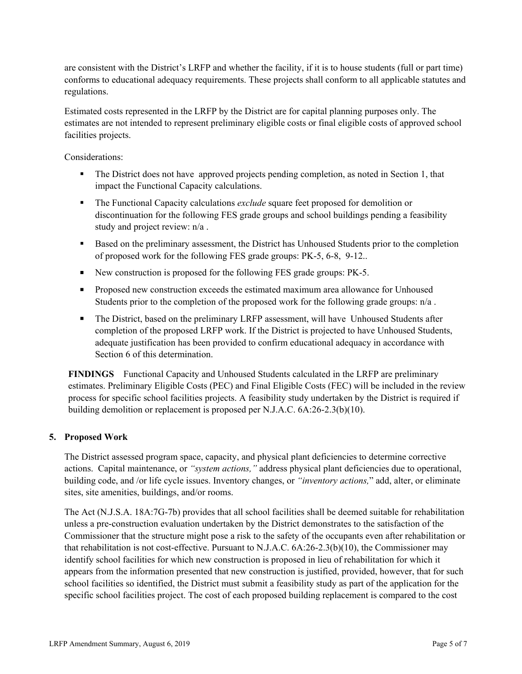are consistent with the District's LRFP and whether the facility, if it is to house students (full or part time) conforms to educational adequacy requirements. These projects shall conform to all applicable statutes and regulations.

Estimated costs represented in the LRFP by the District are for capital planning purposes only. The estimates are not intended to represent preliminary eligible costs or final eligible costs of approved school facilities projects.

Considerations:

- The District does not have approved projects pending completion, as noted in Section 1, that impact the Functional Capacity calculations.
- The Functional Capacity calculations *exclude* square feet proposed for demolition or discontinuation for the following FES grade groups and school buildings pending a feasibility study and project review: n/a .
- Based on the preliminary assessment, the District has Unhoused Students prior to the completion of proposed work for the following FES grade groups: PK-5, 6-8, 9-12..
- New construction is proposed for the following FES grade groups: PK-5.
- **Proposed new construction exceeds the estimated maximum area allowance for Unhoused** Students prior to the completion of the proposed work for the following grade groups: n/a .
- The District, based on the preliminary LRFP assessment, will have Unhoused Students after completion of the proposed LRFP work. If the District is projected to have Unhoused Students, adequate justification has been provided to confirm educational adequacy in accordance with Section 6 of this determination.

**FINDINGS** Functional Capacity and Unhoused Students calculated in the LRFP are preliminary estimates. Preliminary Eligible Costs (PEC) and Final Eligible Costs (FEC) will be included in the review process for specific school facilities projects. A feasibility study undertaken by the District is required if building demolition or replacement is proposed per N.J.A.C. 6A:26-2.3(b)(10).

### **5. Proposed Work**

The District assessed program space, capacity, and physical plant deficiencies to determine corrective actions. Capital maintenance, or *"system actions,"* address physical plant deficiencies due to operational, building code, and /or life cycle issues. Inventory changes, or *"inventory actions,*" add, alter, or eliminate sites, site amenities, buildings, and/or rooms.

The Act (N.J.S.A. 18A:7G-7b) provides that all school facilities shall be deemed suitable for rehabilitation unless a pre-construction evaluation undertaken by the District demonstrates to the satisfaction of the Commissioner that the structure might pose a risk to the safety of the occupants even after rehabilitation or that rehabilitation is not cost-effective. Pursuant to N.J.A.C. 6A:26-2.3(b)(10), the Commissioner may identify school facilities for which new construction is proposed in lieu of rehabilitation for which it appears from the information presented that new construction is justified, provided, however, that for such school facilities so identified, the District must submit a feasibility study as part of the application for the specific school facilities project. The cost of each proposed building replacement is compared to the cost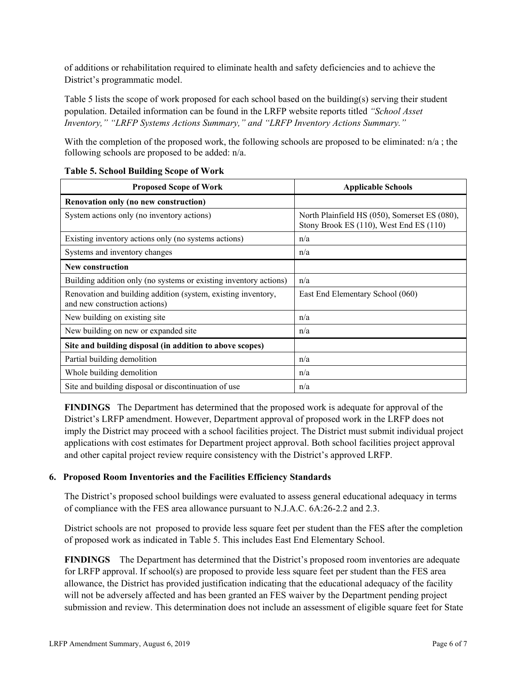of additions or rehabilitation required to eliminate health and safety deficiencies and to achieve the District's programmatic model.

Table 5 lists the scope of work proposed for each school based on the building(s) serving their student population. Detailed information can be found in the LRFP website reports titled *"School Asset Inventory," "LRFP Systems Actions Summary," and "LRFP Inventory Actions Summary."*

With the completion of the proposed work, the following schools are proposed to be eliminated:  $n/a$ ; the following schools are proposed to be added: n/a.

| <b>Proposed Scope of Work</b>                                                                  | <b>Applicable Schools</b>                                                                |
|------------------------------------------------------------------------------------------------|------------------------------------------------------------------------------------------|
| Renovation only (no new construction)                                                          |                                                                                          |
| System actions only (no inventory actions)                                                     | North Plainfield HS (050), Somerset ES (080),<br>Stony Brook ES (110), West End ES (110) |
| Existing inventory actions only (no systems actions)                                           | n/a                                                                                      |
| Systems and inventory changes                                                                  | n/a                                                                                      |
| <b>New construction</b>                                                                        |                                                                                          |
| Building addition only (no systems or existing inventory actions)                              | n/a                                                                                      |
| Renovation and building addition (system, existing inventory,<br>and new construction actions) | East End Elementary School (060)                                                         |
| New building on existing site.                                                                 | n/a                                                                                      |
| New building on new or expanded site                                                           | n/a                                                                                      |
| Site and building disposal (in addition to above scopes)                                       |                                                                                          |
| Partial building demolition                                                                    | n/a                                                                                      |
| Whole building demolition                                                                      | n/a                                                                                      |
| Site and building disposal or discontinuation of use                                           | n/a                                                                                      |

### **Table 5. School Building Scope of Work**

**FINDINGS** The Department has determined that the proposed work is adequate for approval of the District's LRFP amendment. However, Department approval of proposed work in the LRFP does not imply the District may proceed with a school facilities project. The District must submit individual project applications with cost estimates for Department project approval. Both school facilities project approval and other capital project review require consistency with the District's approved LRFP.

# **6. Proposed Room Inventories and the Facilities Efficiency Standards**

The District's proposed school buildings were evaluated to assess general educational adequacy in terms of compliance with the FES area allowance pursuant to N.J.A.C. 6A:26-2.2 and 2.3.

District schools are not proposed to provide less square feet per student than the FES after the completion of proposed work as indicated in Table 5. This includes East End Elementary School.

**FINDINGS** The Department has determined that the District's proposed room inventories are adequate for LRFP approval. If school(s) are proposed to provide less square feet per student than the FES area allowance, the District has provided justification indicating that the educational adequacy of the facility will not be adversely affected and has been granted an FES waiver by the Department pending project submission and review. This determination does not include an assessment of eligible square feet for State